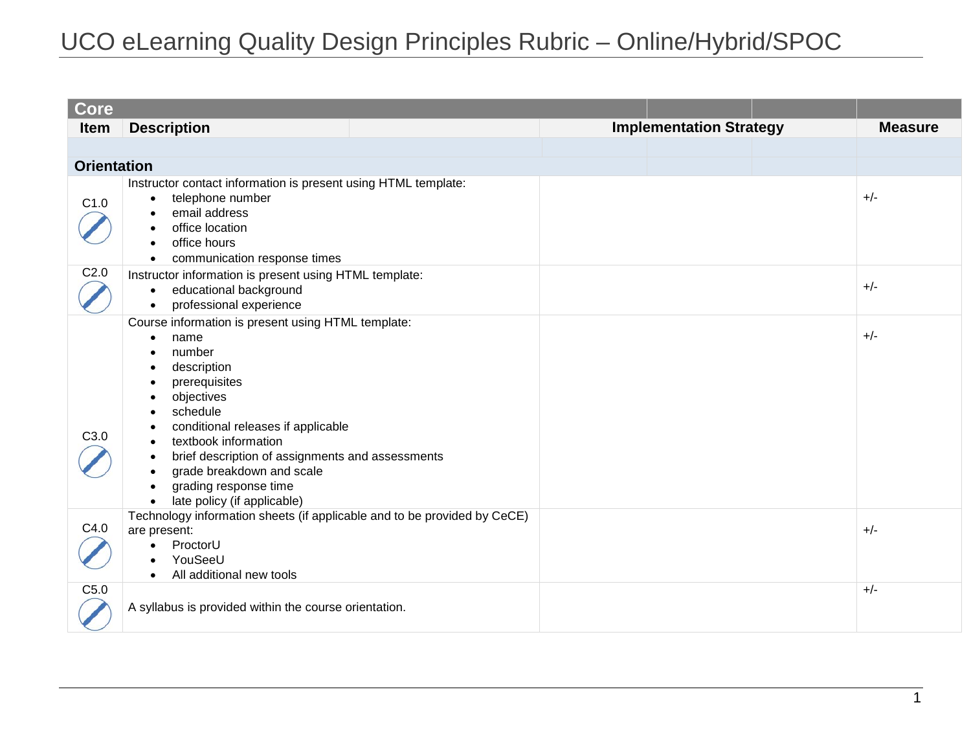| <b>Core</b>        |                                                                                                                                                                                                                                                                                                                                                                                                                                                                         |                                |                |
|--------------------|-------------------------------------------------------------------------------------------------------------------------------------------------------------------------------------------------------------------------------------------------------------------------------------------------------------------------------------------------------------------------------------------------------------------------------------------------------------------------|--------------------------------|----------------|
| <b>Item</b>        | <b>Description</b>                                                                                                                                                                                                                                                                                                                                                                                                                                                      | <b>Implementation Strategy</b> | <b>Measure</b> |
|                    |                                                                                                                                                                                                                                                                                                                                                                                                                                                                         |                                |                |
| <b>Orientation</b> |                                                                                                                                                                                                                                                                                                                                                                                                                                                                         |                                |                |
| C1.0               | Instructor contact information is present using HTML template:<br>telephone number<br>$\bullet$<br>email address<br>٠<br>office location<br>$\bullet$<br>office hours<br>$\bullet$<br>communication response times<br>$\bullet$                                                                                                                                                                                                                                         |                                | $+/-$          |
| C <sub>2.0</sub>   | Instructor information is present using HTML template:<br>educational background<br>$\bullet$<br>professional experience<br>$\bullet$                                                                                                                                                                                                                                                                                                                                   |                                | $+/-$          |
| C3.0               | Course information is present using HTML template:<br>name<br>$\bullet$<br>number<br>$\bullet$<br>description<br>$\bullet$<br>prerequisites<br>$\bullet$<br>objectives<br>$\bullet$<br>schedule<br>$\bullet$<br>conditional releases if applicable<br>textbook information<br>brief description of assignments and assessments<br>$\bullet$<br>grade breakdown and scale<br>$\bullet$<br>grading response time<br>$\bullet$<br>late policy (if applicable)<br>$\bullet$ |                                | $+/-$          |
| C4.0               | Technology information sheets (if applicable and to be provided by CeCE)<br>are present:<br>ProctorU<br>$\bullet$<br>YouSeeU<br>$\bullet$<br>All additional new tools<br>$\bullet$                                                                                                                                                                                                                                                                                      |                                | $+/-$          |
| C5.0               | A syllabus is provided within the course orientation.                                                                                                                                                                                                                                                                                                                                                                                                                   |                                | $+/-$          |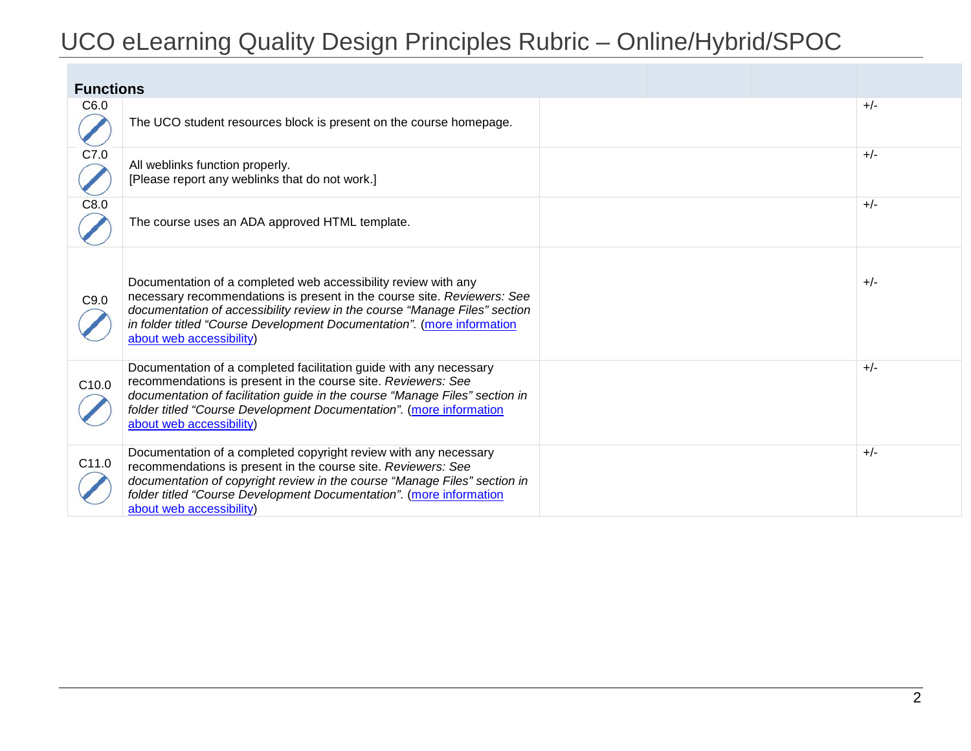| <b>Functions</b>  |                                                                                                                                                                                                                                                                                                                               |  |       |
|-------------------|-------------------------------------------------------------------------------------------------------------------------------------------------------------------------------------------------------------------------------------------------------------------------------------------------------------------------------|--|-------|
| C6.0              | The UCO student resources block is present on the course homepage.                                                                                                                                                                                                                                                            |  | $+/-$ |
| C7.0              | All weblinks function properly.<br>[Please report any weblinks that do not work.]                                                                                                                                                                                                                                             |  | $+/-$ |
| C8.0              | The course uses an ADA approved HTML template.                                                                                                                                                                                                                                                                                |  | $+/-$ |
| C9.0              | Documentation of a completed web accessibility review with any<br>necessary recommendations is present in the course site. Reviewers: See<br>documentation of accessibility review in the course "Manage Files" section<br>in folder titled "Course Development Documentation". (more information<br>about web accessibility) |  | $+/-$ |
| C <sub>10.0</sub> | Documentation of a completed facilitation guide with any necessary<br>recommendations is present in the course site. Reviewers: See<br>documentation of facilitation guide in the course "Manage Files" section in<br>folder titled "Course Development Documentation". (more information<br>about web accessibility)         |  | $+/-$ |
| C11.0             | Documentation of a completed copyright review with any necessary<br>recommendations is present in the course site. Reviewers: See<br>documentation of copyright review in the course "Manage Files" section in<br>folder titled "Course Development Documentation". (more information<br>about web accessibility)             |  | $+/-$ |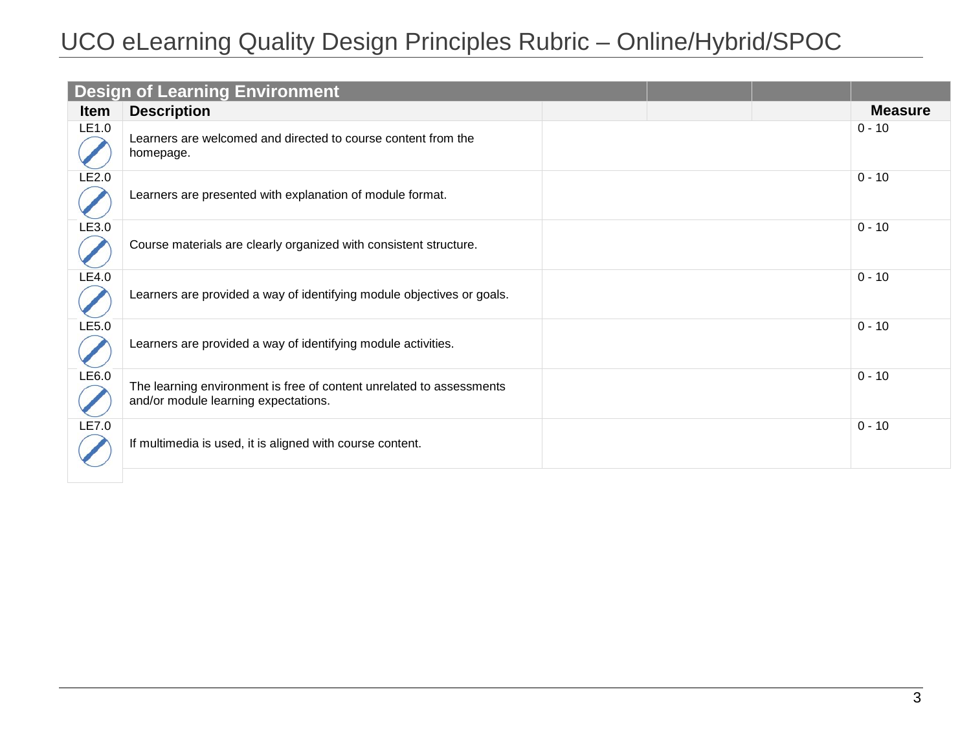|             | <b>Design of Learning Environment</b>                                                                        |  |                |
|-------------|--------------------------------------------------------------------------------------------------------------|--|----------------|
| <b>Item</b> | <b>Description</b>                                                                                           |  | <b>Measure</b> |
| LE1.0       | Learners are welcomed and directed to course content from the<br>homepage.                                   |  | $0 - 10$       |
| LE2.0       | Learners are presented with explanation of module format.                                                    |  | $0 - 10$       |
| LE3.0       | Course materials are clearly organized with consistent structure.                                            |  | $0 - 10$       |
| LE4.0       | Learners are provided a way of identifying module objectives or goals.                                       |  | $0 - 10$       |
| LE5.0       | Learners are provided a way of identifying module activities.                                                |  | $0 - 10$       |
| LE6.0       | The learning environment is free of content unrelated to assessments<br>and/or module learning expectations. |  | $0 - 10$       |
| LE7.0       | If multimedia is used, it is aligned with course content.                                                    |  | $0 - 10$       |
|             |                                                                                                              |  |                |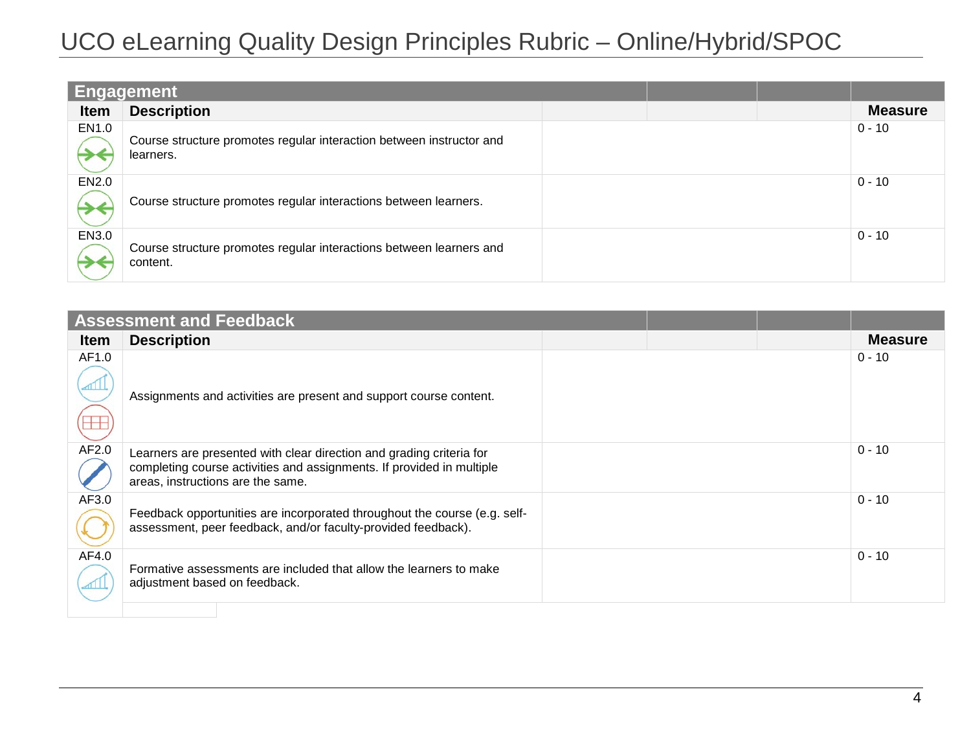| <b>Engagement</b> |                                                                                   |  |  |                |
|-------------------|-----------------------------------------------------------------------------------|--|--|----------------|
| <b>Item</b>       | <b>Description</b>                                                                |  |  | <b>Measure</b> |
| EN1.0             | Course structure promotes regular interaction between instructor and<br>learners. |  |  | $0 - 10$       |
| EN2.0             | Course structure promotes regular interactions between learners.                  |  |  | $0 - 10$       |
| EN3.0             | Course structure promotes regular interactions between learners and<br>content.   |  |  | $0 - 10$       |

|             | <b>Assessment and Feedback</b>                                                                                                                                                     |  |                |
|-------------|------------------------------------------------------------------------------------------------------------------------------------------------------------------------------------|--|----------------|
| <b>Item</b> | <b>Description</b>                                                                                                                                                                 |  | <b>Measure</b> |
| AF1.0       | Assignments and activities are present and support course content.                                                                                                                 |  | $0 - 10$       |
| AF2.0       | Learners are presented with clear direction and grading criteria for<br>completing course activities and assignments. If provided in multiple<br>areas, instructions are the same. |  | $0 - 10$       |
| AF3.0       | Feedback opportunities are incorporated throughout the course (e.g. self-<br>assessment, peer feedback, and/or faculty-provided feedback).                                         |  | $0 - 10$       |
| AF4.0       | Formative assessments are included that allow the learners to make<br>adjustment based on feedback.                                                                                |  | $0 - 10$       |
|             |                                                                                                                                                                                    |  |                |